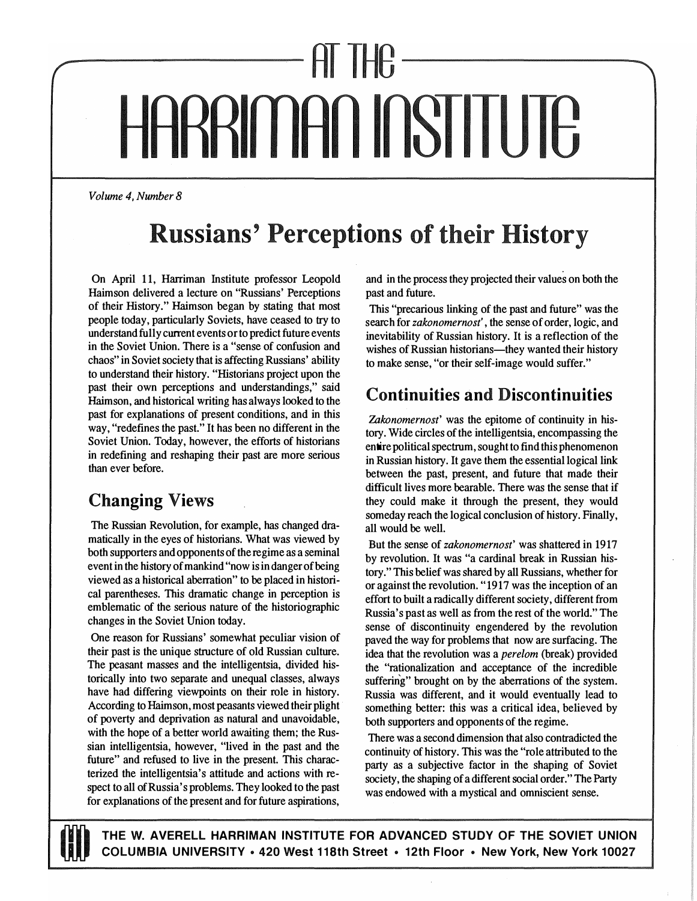# IHG ARRIMAN INSTITUTE

*Volume 4, Number 8* 

# **Russians' Perceptions of their History**

**On April 11, Harriman Institute professor Leopold Haimson delivered a lecture on "Russians' Perceptions of their History." Haimson began by stating that most people today, particularly Soviets, have ceased to try to understand fully current events or to predict future events in the Soviet Union. There is a "sense of confusion and chaos" in Soviet society that is affecting Russians' ability to understand their history. "Historians project upon the past their own perceptions and understandings," said Haimson, and historical writing has always looked to the past for explanations of present conditions, and in this way, "redefines the past." It has been no different in the Soviet Union. Today, however, the efforts of historians in redefining and reshaping their past are more serious than ever before.** 

## **Changing Views**

**The Russian Revolution, for example, has changed dramatically in the eyes of historians. What was viewed by both supporters and opponents of the regime as a seminal event in the history of mankind "now is in danger of being viewed as a historical aberration" to be placed in historical parentheses. This dramatic change in perception is emblematic of the serious nature of the historiographic changes in the Soviet Union today.** 

**One reason for Russians' somewhat peculiar vision of their past is the unique structure of old Russian culture. The peasant masses and the intelligentsia, divided historically into two separate and unequal classes, always have had differing viewpoints on their role in history. According to Haimson, most peasants viewed their plight of poverty and deprivation as natural and unavoidable, with the hope of a better world awaiting them; the Russian intelligentsia, however, "lived in the past and the future" and refused to live in the present. This characterized the intelligentsia's attitude and actions with respect to all of Russia's problems. They looked to the past for explanations of the present and for future aspirations,** 

**and in the process they projected their values on both the past and future.** 

**This "precarious linking of the past and future" was the search for** *zakonomernost',* **the sense of order, logic, and inevitability of Russian history. It is a reflection of the**  wishes of Russian historians-they wanted their history **to make sense, "or their self-image would suffer."** 

### **Continuities and Discontinuities**

*'Zakonomernost'* **was the epitome of continuity in history. Wide circles of the intelligentsia, encompassing the entire political spectrum, sought to find this phenomenon in Russian history. It gave them the essential logical link between the past, present, and future that made their difficult lives more bearable. There was the sense that if they could make it through the present, they would someday reach the logical conclusion of history. Finally, all would be well.** 

**But the sense of** *zakonomernost'* **was shattered in 1917 by revolution. It was "a cardinal break in Russian history." This belief was shared by all Russians, whether for or against the revolution. "1917 was the inception of an effort to built a radically different society, different from Russia's past as well as from the rest of the world." The sense of discontinuity engendered by the revolution paved the way for problems that now are surfacing. The idea that the revolution was a** *perelom* **(break) provided the · "rationalization and acceptance of the incredible suffering" brought on by the aberrations of the system. Russia was different, and it would eventually lead to something better: this was a critical idea, believed by both supporters and opponents of the regime.** 

**There was a second dimension that also contradicted the continuity of history. This was the "role attributed to the party as a subjective factor in the shaping of Soviet society, the shaping of a different social order." The Party was endowed with a mystical and omniscient sense.** 



THE W. AVERELL HARRIMAN INSTITUTE FOR ADVANCED STUDY OF THE SOVIET UNION U,U **COLUMBIA UNIVERSITY• 420 West 118th Street • 12th Floor • New York, New York 10027**